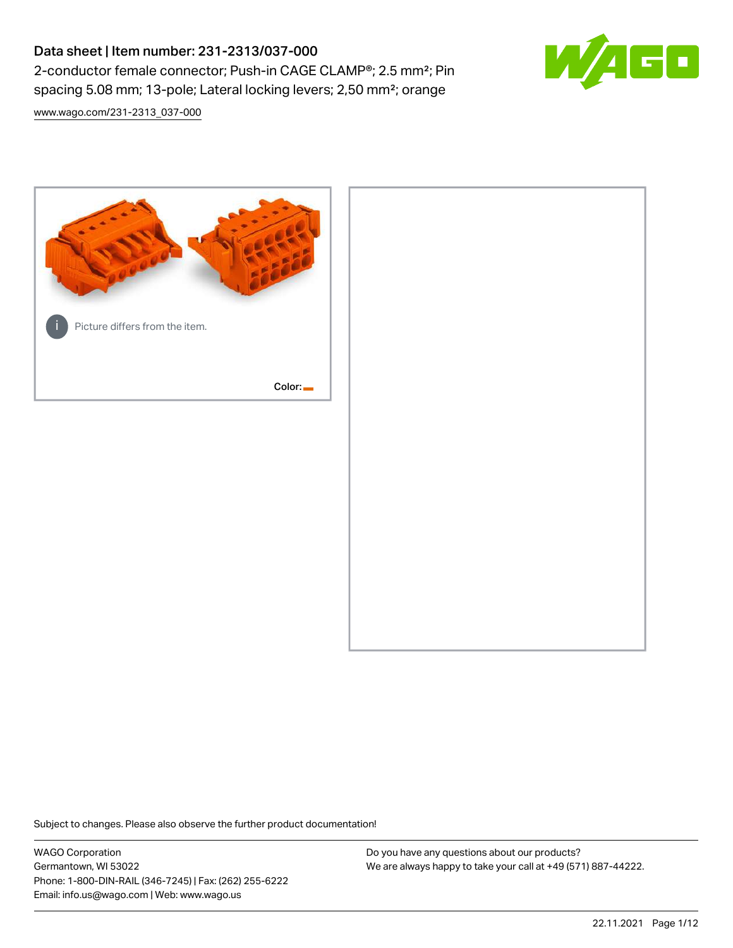# Data sheet | Item number: 231-2313/037-000 2-conductor female connector; Push-in CAGE CLAMP®; 2.5 mm²; Pin spacing 5.08 mm; 13-pole; Lateral locking levers; 2,50 mm²; orange

[www.wago.com/231-2313\\_037-000](http://www.wago.com/231-2313_037-000)



Subject to changes. Please also observe the further product documentation!

WAGO Corporation Germantown, WI 53022 Phone: 1-800-DIN-RAIL (346-7245) | Fax: (262) 255-6222 Email: info.us@wago.com | Web: www.wago.us

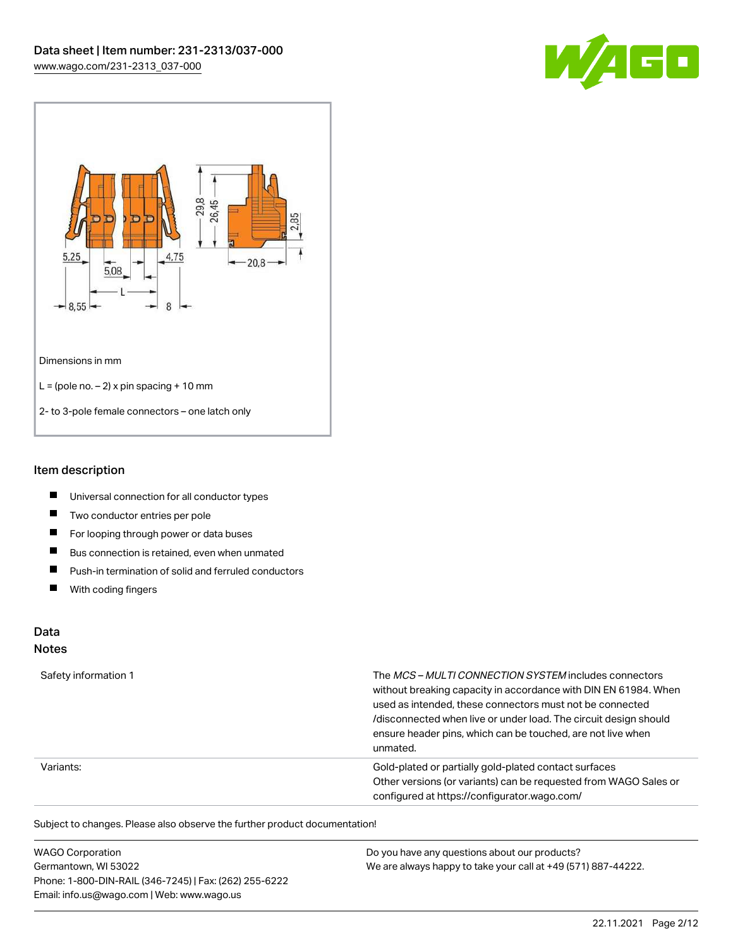



#### Item description

- $\blacksquare$ Universal connection for all conductor types
- $\blacksquare$ Two conductor entries per pole
- $\blacksquare$ For looping through power or data buses
- $\blacksquare$ Bus connection is retained, even when unmated
- $\blacksquare$ Push-in termination of solid and ferruled conductors
- $\blacksquare$ With coding fingers

## Data

#### Notes

| Safety information 1 | The MCS-MULTI CONNECTION SYSTEM includes connectors<br>without breaking capacity in accordance with DIN EN 61984. When<br>used as intended, these connectors must not be connected<br>/disconnected when live or under load. The circuit design should<br>ensure header pins, which can be touched, are not live when<br>unmated. |
|----------------------|-----------------------------------------------------------------------------------------------------------------------------------------------------------------------------------------------------------------------------------------------------------------------------------------------------------------------------------|
| Variants:            | Gold-plated or partially gold-plated contact surfaces<br>Other versions (or variants) can be requested from WAGO Sales or<br>configured at https://configurator.wago.com/                                                                                                                                                         |

| <b>WAGO Corporation</b>                                | Do you have any questions about our products?                 |
|--------------------------------------------------------|---------------------------------------------------------------|
| Germantown, WI 53022                                   | We are always happy to take your call at +49 (571) 887-44222. |
| Phone: 1-800-DIN-RAIL (346-7245)   Fax: (262) 255-6222 |                                                               |
| Email: info.us@wago.com   Web: www.wago.us             |                                                               |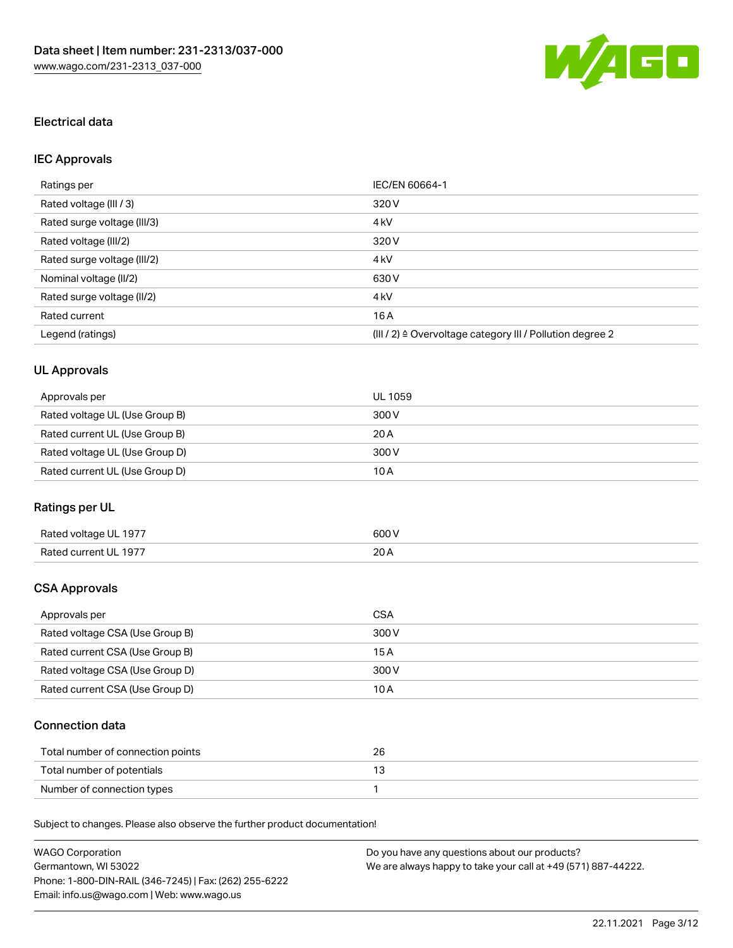

## Electrical data

## IEC Approvals

| Ratings per                 | IEC/EN 60664-1                                                        |
|-----------------------------|-----------------------------------------------------------------------|
| Rated voltage (III / 3)     | 320 V                                                                 |
| Rated surge voltage (III/3) | 4 <sub>k</sub> V                                                      |
| Rated voltage (III/2)       | 320 V                                                                 |
| Rated surge voltage (III/2) | 4 <sub>k</sub> V                                                      |
| Nominal voltage (II/2)      | 630 V                                                                 |
| Rated surge voltage (II/2)  | 4 <sub>k</sub> V                                                      |
| Rated current               | 16A                                                                   |
| Legend (ratings)            | $(III / 2)$ $\triangle$ Overvoltage category III / Pollution degree 2 |

## UL Approvals

| Approvals per                  | UL 1059 |
|--------------------------------|---------|
| Rated voltage UL (Use Group B) | 300 V   |
| Rated current UL (Use Group B) | 20A     |
| Rated voltage UL (Use Group D) | 300 V   |
| Rated current UL (Use Group D) | 10 A    |

## Ratings per UL

| Rated voltage UL 1977 | 600 V       |
|-----------------------|-------------|
| Rated current UL 1977 | 20h<br>20 A |

## CSA Approvals

| Approvals per                   | CSA   |
|---------------------------------|-------|
| Rated voltage CSA (Use Group B) | 300 V |
| Rated current CSA (Use Group B) | 15 A  |
| Rated voltage CSA (Use Group D) | 300 V |
| Rated current CSA (Use Group D) | 10 A  |

## Connection data

| Total number of connection points |  |
|-----------------------------------|--|
| Total number of potentials        |  |
| Number of connection types        |  |

| <b>WAGO Corporation</b>                                | Do you have any questions about our products?                 |
|--------------------------------------------------------|---------------------------------------------------------------|
| Germantown. WI 53022                                   | We are always happy to take your call at +49 (571) 887-44222. |
| Phone: 1-800-DIN-RAIL (346-7245)   Fax: (262) 255-6222 |                                                               |
| Email: info.us@wago.com   Web: www.wago.us             |                                                               |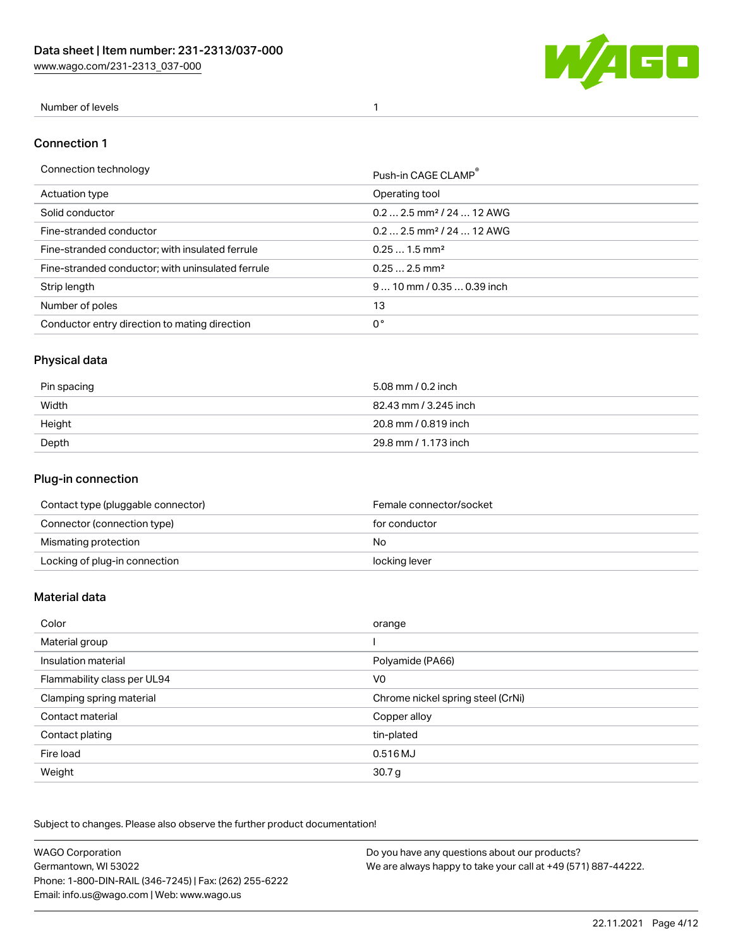[www.wago.com/231-2313\\_037-000](http://www.wago.com/231-2313_037-000)



### Number of levels 1

#### Connection 1

| Connection technology                             | Push-in CAGE CLAMP®                   |
|---------------------------------------------------|---------------------------------------|
| Actuation type                                    | Operating tool                        |
| Solid conductor                                   | $0.22.5$ mm <sup>2</sup> / 24  12 AWG |
| Fine-stranded conductor                           | $0.22.5$ mm <sup>2</sup> / 24  12 AWG |
| Fine-stranded conductor; with insulated ferrule   | $0.251.5$ mm <sup>2</sup>             |
| Fine-stranded conductor: with uninsulated ferrule | $0.252.5$ mm <sup>2</sup>             |
| Strip length                                      | $910$ mm $/0.350.39$ inch             |
| Number of poles                                   | 13                                    |
| Conductor entry direction to mating direction     | 0°                                    |

## Physical data

| Pin spacing | 5.08 mm / 0.2 inch    |
|-------------|-----------------------|
| Width       | 82.43 mm / 3.245 inch |
| Height      | 20.8 mm / 0.819 inch  |
| Depth       | 29.8 mm / 1.173 inch  |

### Plug-in connection

| Contact type (pluggable connector) | Female connector/socket |
|------------------------------------|-------------------------|
| Connector (connection type)        | for conductor           |
| Mismating protection               | No.                     |
| Locking of plug-in connection      | locking lever           |

#### Material data

| Color                       | orange                            |
|-----------------------------|-----------------------------------|
| Material group              |                                   |
| Insulation material         | Polyamide (PA66)                  |
| Flammability class per UL94 | V <sub>0</sub>                    |
| Clamping spring material    | Chrome nickel spring steel (CrNi) |
| Contact material            | Copper alloy                      |
| Contact plating             | tin-plated                        |
| Fire load                   | 0.516 MJ                          |
| Weight                      | 30.7 <sub>g</sub>                 |

| <b>WAGO Corporation</b>                                | Do you have any questions about our products?                 |
|--------------------------------------------------------|---------------------------------------------------------------|
| Germantown, WI 53022                                   | We are always happy to take your call at +49 (571) 887-44222. |
| Phone: 1-800-DIN-RAIL (346-7245)   Fax: (262) 255-6222 |                                                               |
| Email: info.us@wago.com   Web: www.wago.us             |                                                               |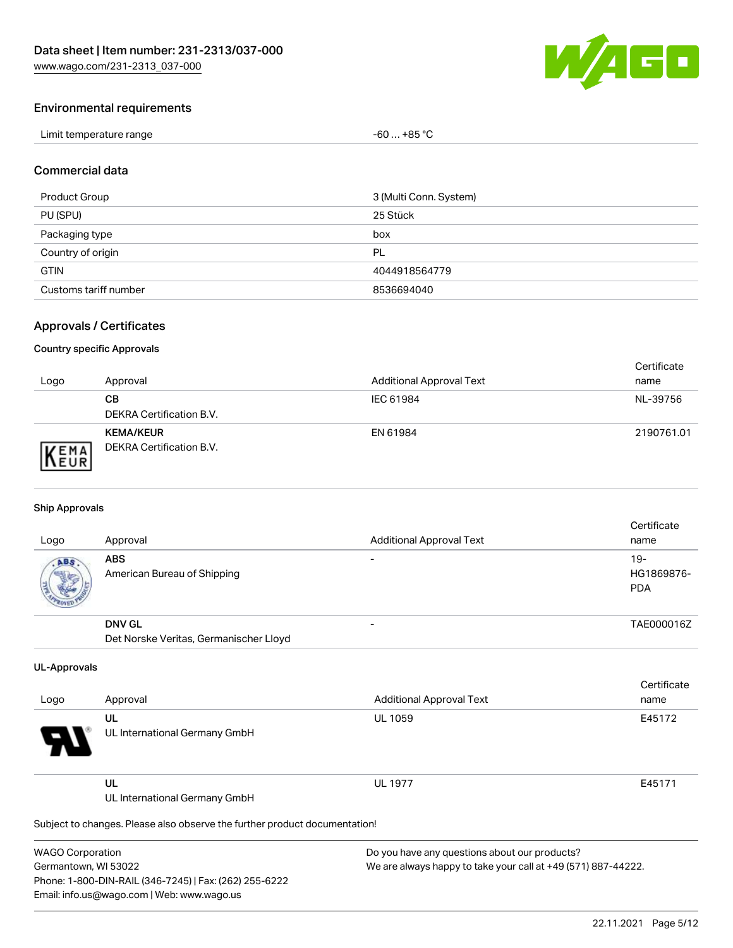

### Environmental requirements

| Limit temperature range | +85 °C<br>-60<br>$\sim$<br>___ |
|-------------------------|--------------------------------|
|-------------------------|--------------------------------|

#### Commercial data

| Product Group         | 3 (Multi Conn. System) |
|-----------------------|------------------------|
| PU (SPU)              | 25 Stück               |
| Packaging type        | box                    |
| Country of origin     | PL                     |
| <b>GTIN</b>           | 4044918564779          |
| Customs tariff number | 8536694040             |

### Approvals / Certificates

#### Country specific Approvals

| Logo                | Approval                                            | <b>Additional Approval Text</b> | Certificate<br>name |
|---------------------|-----------------------------------------------------|---------------------------------|---------------------|
|                     | CВ<br>DEKRA Certification B.V.                      | IEC 61984                       | NL-39756            |
| EMA<br><b>INEUR</b> | <b>KEMA/KEUR</b><br><b>DEKRA Certification B.V.</b> | EN 61984                        | 2190761.01          |

#### Ship Approvals

| Logo | Approval                                  | <b>Additional Approval Text</b> | Certificate<br>name                |
|------|-------------------------------------------|---------------------------------|------------------------------------|
| ABS  | <b>ABS</b><br>American Bureau of Shipping |                                 | $19 -$<br>HG1869876-<br><b>PDA</b> |
|      | <b>DNV GL</b>                             |                                 | TAE000016Z                         |
|      | Det Norske Veritas, Germanischer Lloyd    |                                 |                                    |

#### UL-Approvals

| Logo | Approval                                                                  | <b>Additional Approval Text</b> | Certificate<br>name |
|------|---------------------------------------------------------------------------|---------------------------------|---------------------|
|      | UL<br>UL International Germany GmbH                                       | <b>UL 1059</b>                  | E45172              |
|      | UL<br>UL International Germany GmbH                                       | <b>UL 1977</b>                  | E45171              |
|      | Cubicat to changes. Please also chasges the further product decumentation |                                 |                     |

Subject to changes. Please also observe the further product documentation!

| <b>WAGO Corporation</b>                                |
|--------------------------------------------------------|
| Germantown, WI 53022                                   |
| Phone: 1-800-DIN-RAIL (346-7245)   Fax: (262) 255-6222 |
| Email: info.us@wago.com   Web: www.wago.us             |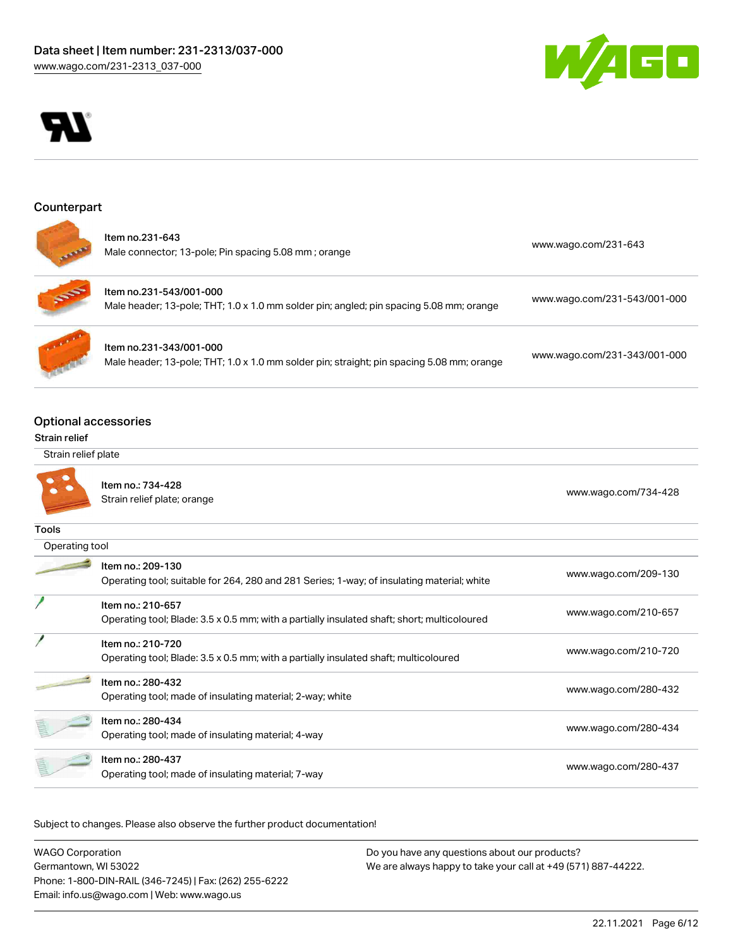



#### **Counterpart**

|  | ltem no.231-643<br>Male connector; 13-pole; Pin spacing 5.08 mm; orange | www.wago.com/231-643 |
|--|-------------------------------------------------------------------------|----------------------|
|--|-------------------------------------------------------------------------|----------------------|



Item no.231-543/001-000 Male header; 13-pole; THT; 1.0 x 1.0 mm solder pin; angled; pin spacing 5.08 mm; orange [www.wago.com/231-543/001-000](https://www.wago.com/231-543/001-000)

Item no.231-343/001-000 Male header; 13-pole; THT; 1.0 x 1.0 mm solder pin; straight; pin spacing 5.08 mm; orange [www.wago.com/231-343/001-000](https://www.wago.com/231-343/001-000)

### Optional accessories

#### Strain relief



Item no.: 734-428

Strain relief plate; orange [www.wago.com/734-428](http://www.wago.com/734-428)

Tools Operating tool Item no.: 209-130 Operating tool; suitable for 264, 280 and 281 Series; 1-way; of insulating material; white [www.wago.com/209-130](http://www.wago.com/209-130) Item no.: 210-657 Operating tool; Blade: 3.5 x 0.5 mm; with a partially insulated shaft; short; multicoloured [www.wago.com/210-657](http://www.wago.com/210-657) Item no.: 210-720 Operating tool; Blade: 3.5 x 0.5 mm; with a partially insulated shaft; multicoloured [www.wago.com/210-720](http://www.wago.com/210-720) Item no.: 280-432 nem no... 200-402<br>Operating tool; made of insulating material; 2-way; white [www.wago.com/280-432](http://www.wago.com/280-432) Item no.: 280-434 Next the second of the second of insulating material; 4-way [www.wago.com/280-434](http://www.wago.com/280-434)<br>Operating tool; made of insulating material; 4-way Item no.: 280-437 Operating tool; made of insulating material; 7-way [www.wago.com/280-437](http://www.wago.com/280-437)<br>Operating tool; made of insulating material; 7-way

| <b>WAGO Corporation</b>                                | Do you have any questions about our products?                 |
|--------------------------------------------------------|---------------------------------------------------------------|
| Germantown, WI 53022                                   | We are always happy to take your call at +49 (571) 887-44222. |
| Phone: 1-800-DIN-RAIL (346-7245)   Fax: (262) 255-6222 |                                                               |
| Email: info.us@wago.com   Web: www.wago.us             |                                                               |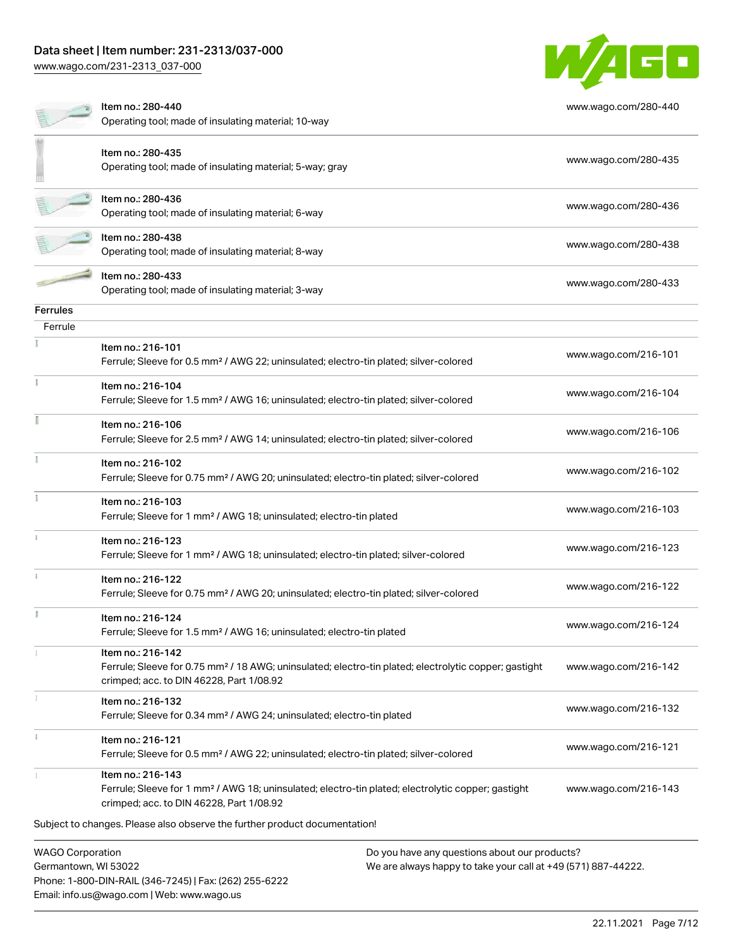[www.wago.com/231-2313\\_037-000](http://www.wago.com/231-2313_037-000)



|                         | Item no.: 280-440<br>Operating tool; made of insulating material; 10-way                                                                                                           |                                               | www.wago.com/280-440 |
|-------------------------|------------------------------------------------------------------------------------------------------------------------------------------------------------------------------------|-----------------------------------------------|----------------------|
|                         | Item no.: 280-435<br>Operating tool; made of insulating material; 5-way; gray                                                                                                      |                                               | www.wago.com/280-435 |
|                         | Item no.: 280-436<br>Operating tool; made of insulating material; 6-way                                                                                                            |                                               | www.wago.com/280-436 |
|                         | Item no.: 280-438<br>Operating tool; made of insulating material; 8-way                                                                                                            |                                               | www.wago.com/280-438 |
|                         | Item no.: 280-433<br>Operating tool; made of insulating material; 3-way                                                                                                            |                                               | www.wago.com/280-433 |
| Ferrules                |                                                                                                                                                                                    |                                               |                      |
| Ferrule                 |                                                                                                                                                                                    |                                               |                      |
|                         | Item no.: 216-101<br>Ferrule; Sleeve for 0.5 mm <sup>2</sup> / AWG 22; uninsulated; electro-tin plated; silver-colored                                                             |                                               | www.wago.com/216-101 |
|                         | Item no.: 216-104<br>Ferrule; Sleeve for 1.5 mm <sup>2</sup> / AWG 16; uninsulated; electro-tin plated; silver-colored                                                             |                                               | www.wago.com/216-104 |
|                         | Item no.: 216-106<br>Ferrule; Sleeve for 2.5 mm <sup>2</sup> / AWG 14; uninsulated; electro-tin plated; silver-colored                                                             |                                               | www.wago.com/216-106 |
|                         | Item no.: 216-102<br>Ferrule; Sleeve for 0.75 mm <sup>2</sup> / AWG 20; uninsulated; electro-tin plated; silver-colored                                                            |                                               | www.wago.com/216-102 |
|                         | Item no.: 216-103<br>Ferrule; Sleeve for 1 mm <sup>2</sup> / AWG 18; uninsulated; electro-tin plated                                                                               |                                               | www.wago.com/216-103 |
|                         | Item no.: 216-123<br>Ferrule; Sleeve for 1 mm <sup>2</sup> / AWG 18; uninsulated; electro-tin plated; silver-colored                                                               |                                               | www.wago.com/216-123 |
|                         | Item no.: 216-122<br>Ferrule; Sleeve for 0.75 mm <sup>2</sup> / AWG 20; uninsulated; electro-tin plated; silver-colored                                                            |                                               | www.wago.com/216-122 |
|                         | Item no.: 216-124<br>Ferrule; Sleeve for 1.5 mm <sup>2</sup> / AWG 16; uninsulated; electro-tin plated                                                                             |                                               | www.wago.com/216-124 |
|                         | Item no.: 216-142<br>Ferrule; Sleeve for 0.75 mm <sup>2</sup> / 18 AWG; uninsulated; electro-tin plated; electrolytic copper; gastight<br>crimped; acc. to DIN 46228, Part 1/08.92 |                                               | www.wago.com/216-142 |
|                         | Item no.: 216-132<br>Ferrule; Sleeve for 0.34 mm <sup>2</sup> / AWG 24; uninsulated; electro-tin plated                                                                            |                                               | www.wago.com/216-132 |
|                         | Item no.: 216-121<br>Ferrule; Sleeve for 0.5 mm <sup>2</sup> / AWG 22; uninsulated; electro-tin plated; silver-colored                                                             |                                               | www.wago.com/216-121 |
|                         | Item no.: 216-143<br>Ferrule; Sleeve for 1 mm <sup>2</sup> / AWG 18; uninsulated; electro-tin plated; electrolytic copper; gastight<br>crimped; acc. to DIN 46228, Part 1/08.92    |                                               | www.wago.com/216-143 |
|                         | Subject to changes. Please also observe the further product documentation!                                                                                                         |                                               |                      |
|                         |                                                                                                                                                                                    |                                               |                      |
| <b>WAGO Corporation</b> |                                                                                                                                                                                    | Do you have any questions about our products? |                      |

Germantown, WI 53022 Phone: 1-800-DIN-RAIL (346-7245) | Fax: (262) 255-6222 Email: info.us@wago.com | Web: www.wago.us

We are always happy to take your call at +49 (571) 887-44222.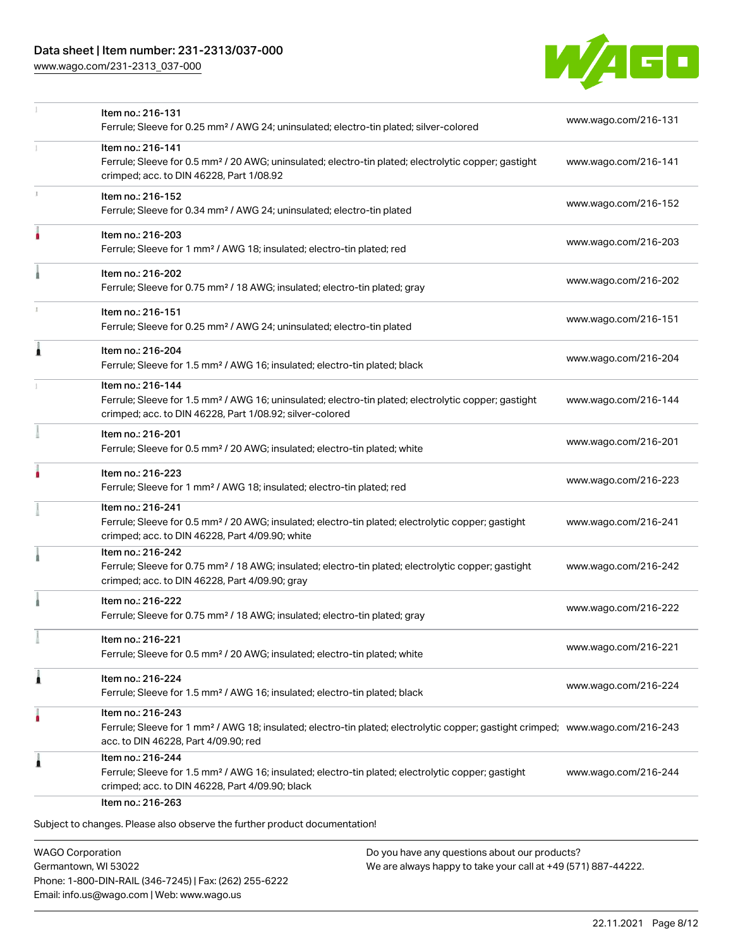[www.wago.com/231-2313\\_037-000](http://www.wago.com/231-2313_037-000)



|   | Item no.: 216-131<br>Ferrule; Sleeve for 0.25 mm <sup>2</sup> / AWG 24; uninsulated; electro-tin plated; silver-colored                                                                                 | www.wago.com/216-131 |
|---|---------------------------------------------------------------------------------------------------------------------------------------------------------------------------------------------------------|----------------------|
|   | Item no.: 216-141<br>Ferrule; Sleeve for 0.5 mm <sup>2</sup> / 20 AWG; uninsulated; electro-tin plated; electrolytic copper; gastight<br>crimped; acc. to DIN 46228, Part 1/08.92                       | www.wago.com/216-141 |
|   | Item no.: 216-152<br>Ferrule; Sleeve for 0.34 mm <sup>2</sup> / AWG 24; uninsulated; electro-tin plated                                                                                                 | www.wago.com/216-152 |
| ۸ | Item no.: 216-203<br>Ferrule; Sleeve for 1 mm <sup>2</sup> / AWG 18; insulated; electro-tin plated; red                                                                                                 | www.wago.com/216-203 |
|   | Item no.: 216-202<br>Ferrule; Sleeve for 0.75 mm <sup>2</sup> / 18 AWG; insulated; electro-tin plated; gray                                                                                             | www.wago.com/216-202 |
| т | Item no.: 216-151<br>Ferrule; Sleeve for 0.25 mm <sup>2</sup> / AWG 24; uninsulated; electro-tin plated                                                                                                 | www.wago.com/216-151 |
| 1 | Item no.: 216-204<br>Ferrule; Sleeve for 1.5 mm <sup>2</sup> / AWG 16; insulated; electro-tin plated; black                                                                                             | www.wago.com/216-204 |
|   | Item no.: 216-144<br>Ferrule; Sleeve for 1.5 mm <sup>2</sup> / AWG 16; uninsulated; electro-tin plated; electrolytic copper; gastight<br>crimped; acc. to DIN 46228, Part 1/08.92; silver-colored       | www.wago.com/216-144 |
|   | Item no.: 216-201<br>Ferrule; Sleeve for 0.5 mm <sup>2</sup> / 20 AWG; insulated; electro-tin plated; white                                                                                             | www.wago.com/216-201 |
|   | Item no.: 216-223<br>Ferrule; Sleeve for 1 mm <sup>2</sup> / AWG 18; insulated; electro-tin plated; red                                                                                                 | www.wago.com/216-223 |
|   | Item no.: 216-241<br>Ferrule; Sleeve for 0.5 mm <sup>2</sup> / 20 AWG; insulated; electro-tin plated; electrolytic copper; gastight<br>crimped; acc. to DIN 46228, Part 4/09.90; white                  | www.wago.com/216-241 |
|   | Item no.: 216-242<br>Ferrule; Sleeve for 0.75 mm <sup>2</sup> / 18 AWG; insulated; electro-tin plated; electrolytic copper; gastight<br>crimped; acc. to DIN 46228, Part 4/09.90; gray                  | www.wago.com/216-242 |
|   | Item no.: 216-222<br>Ferrule; Sleeve for 0.75 mm <sup>2</sup> / 18 AWG; insulated; electro-tin plated; gray                                                                                             | www.wago.com/216-222 |
|   | Item no.: 216-221<br>Ferrule; Sleeve for 0.5 mm <sup>2</sup> / 20 AWG; insulated; electro-tin plated; white                                                                                             | www.wago.com/216-221 |
| 1 | Item no.: 216-224<br>Ferrule; Sleeve for 1.5 mm <sup>2</sup> / AWG 16; insulated; electro-tin plated; black                                                                                             | www.wago.com/216-224 |
| ٠ | Item no.: 216-243<br>Ferrule; Sleeve for 1 mm <sup>2</sup> / AWG 18; insulated; electro-tin plated; electrolytic copper; gastight crimped; www.wago.com/216-243<br>acc. to DIN 46228, Part 4/09.90; red |                      |
| 1 | Item no.: 216-244<br>Ferrule; Sleeve for 1.5 mm <sup>2</sup> / AWG 16; insulated; electro-tin plated; electrolytic copper; gastight<br>crimped; acc. to DIN 46228, Part 4/09.90; black                  | www.wago.com/216-244 |

WAGO Corporation Germantown, WI 53022 Phone: 1-800-DIN-RAIL (346-7245) | Fax: (262) 255-6222 Email: info.us@wago.com | Web: www.wago.us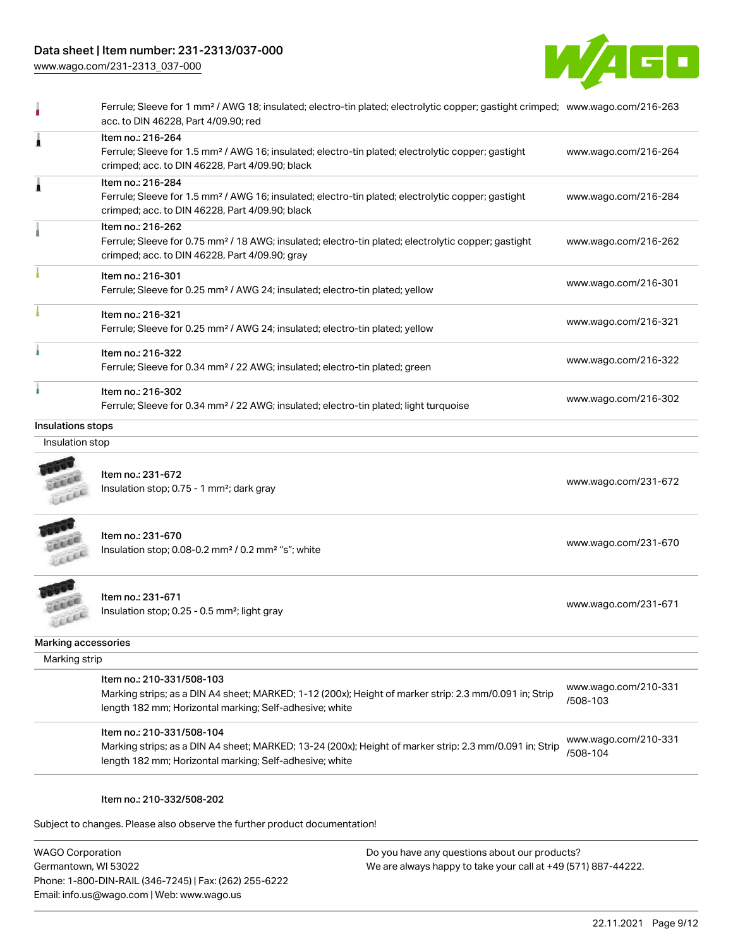## Data sheet | Item number: 231-2313/037-000

[www.wago.com/231-2313\\_037-000](http://www.wago.com/231-2313_037-000)



|                     | Ferrule; Sleeve for 1 mm <sup>2</sup> / AWG 18; insulated; electro-tin plated; electrolytic copper; gastight crimped; www.wago.com/216-263<br>acc. to DIN 46228, Part 4/09.90; red |                      |
|---------------------|------------------------------------------------------------------------------------------------------------------------------------------------------------------------------------|----------------------|
| j                   | Item no.: 216-264                                                                                                                                                                  |                      |
|                     | Ferrule; Sleeve for 1.5 mm <sup>2</sup> / AWG 16; insulated; electro-tin plated; electrolytic copper; gastight                                                                     | www.wago.com/216-264 |
|                     | crimped; acc. to DIN 46228, Part 4/09.90; black                                                                                                                                    |                      |
| ۸                   | Item no.: 216-284                                                                                                                                                                  |                      |
|                     | Ferrule; Sleeve for 1.5 mm <sup>2</sup> / AWG 16; insulated; electro-tin plated; electrolytic copper; gastight                                                                     | www.wago.com/216-284 |
|                     | crimped; acc. to DIN 46228, Part 4/09.90; black                                                                                                                                    |                      |
|                     | Item no.: 216-262                                                                                                                                                                  |                      |
|                     | Ferrule; Sleeve for 0.75 mm <sup>2</sup> / 18 AWG; insulated; electro-tin plated; electrolytic copper; gastight                                                                    | www.wago.com/216-262 |
|                     | crimped; acc. to DIN 46228, Part 4/09.90; gray                                                                                                                                     |                      |
|                     | Item no.: 216-301                                                                                                                                                                  |                      |
|                     | Ferrule; Sleeve for 0.25 mm <sup>2</sup> / AWG 24; insulated; electro-tin plated; yellow                                                                                           | www.wago.com/216-301 |
|                     | Item no.: 216-321                                                                                                                                                                  |                      |
|                     | Ferrule; Sleeve for 0.25 mm <sup>2</sup> / AWG 24; insulated; electro-tin plated; yellow                                                                                           | www.wago.com/216-321 |
|                     |                                                                                                                                                                                    |                      |
|                     | Item no.: 216-322                                                                                                                                                                  | www.wago.com/216-322 |
|                     | Ferrule; Sleeve for 0.34 mm <sup>2</sup> / 22 AWG; insulated; electro-tin plated; green                                                                                            |                      |
| ٠                   | Item no.: 216-302                                                                                                                                                                  |                      |
|                     | Ferrule; Sleeve for 0.34 mm <sup>2</sup> / 22 AWG; insulated; electro-tin plated; light turquoise                                                                                  | www.wago.com/216-302 |
| Insulations stops   |                                                                                                                                                                                    |                      |
| Insulation stop     |                                                                                                                                                                                    |                      |
|                     |                                                                                                                                                                                    |                      |
|                     | Item no.: 231-672                                                                                                                                                                  | www.wago.com/231-672 |
|                     | Insulation stop; 0.75 - 1 mm <sup>2</sup> ; dark gray                                                                                                                              |                      |
|                     |                                                                                                                                                                                    |                      |
|                     |                                                                                                                                                                                    |                      |
|                     | Item no.: 231-670                                                                                                                                                                  | www.wago.com/231-670 |
|                     | Insulation stop; 0.08-0.2 mm <sup>2</sup> / 0.2 mm <sup>2</sup> "s"; white                                                                                                         |                      |
|                     |                                                                                                                                                                                    |                      |
|                     | Item no.: 231-671                                                                                                                                                                  | www.wago.com/231-671 |
|                     | Insulation stop; 0.25 - 0.5 mm <sup>2</sup> ; light gray                                                                                                                           |                      |
| Marking accessories |                                                                                                                                                                                    |                      |
| Marking strip       |                                                                                                                                                                                    |                      |
|                     |                                                                                                                                                                                    |                      |
|                     | Item no.: 210-331/508-103                                                                                                                                                          | www.wago.com/210-331 |
|                     | Marking strips; as a DIN A4 sheet; MARKED; 1-12 (200x); Height of marker strip: 2.3 mm/0.091 in; Strip<br>length 182 mm; Horizontal marking; Self-adhesive; white                  | /508-103             |
|                     | Item no.: 210-331/508-104                                                                                                                                                          |                      |
|                     | Marking strips; as a DIN A4 sheet; MARKED; 13-24 (200x); Height of marker strip: 2.3 mm/0.091 in; Strip                                                                            | www.wago.com/210-331 |
|                     | length 182 mm; Horizontal marking; Self-adhesive; white                                                                                                                            | /508-104             |
|                     |                                                                                                                                                                                    |                      |
|                     | Item no.: 210-332/508-202                                                                                                                                                          |                      |

Subject to changes. Please also observe the further product documentation!

WAGO Corporation Germantown, WI 53022 Phone: 1-800-DIN-RAIL (346-7245) | Fax: (262) 255-6222 Email: info.us@wago.com | Web: www.wago.us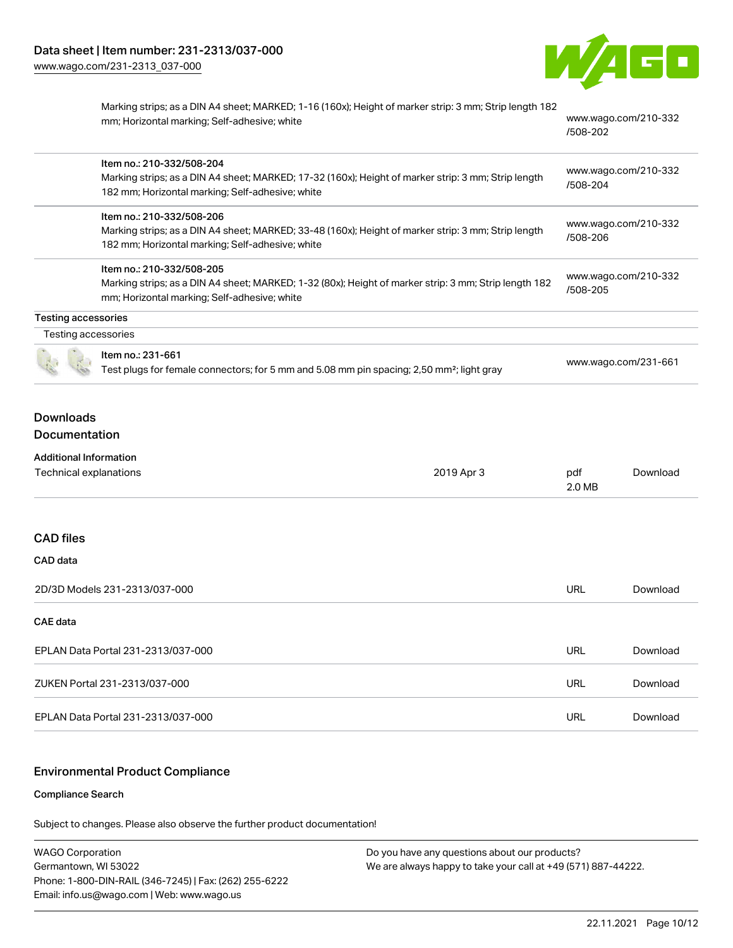

| Marking strips; as a DIN A4 sheet; MARKED; 1-16 (160x); Height of marker strip: 3 mm; Strip length 182<br>mm; Horizontal marking; Self-adhesive; white                               | /508-202      | www.wago.com/210-332 |
|--------------------------------------------------------------------------------------------------------------------------------------------------------------------------------------|---------------|----------------------|
| Item no.: 210-332/508-204<br>Marking strips; as a DIN A4 sheet; MARKED; 17-32 (160x); Height of marker strip: 3 mm; Strip length<br>182 mm; Horizontal marking; Self-adhesive; white | /508-204      | www.wago.com/210-332 |
| Item no.: 210-332/508-206<br>Marking strips; as a DIN A4 sheet; MARKED; 33-48 (160x); Height of marker strip: 3 mm; Strip length<br>182 mm; Horizontal marking; Self-adhesive; white | /508-206      | www.wago.com/210-332 |
| Item no.: 210-332/508-205<br>Marking strips; as a DIN A4 sheet; MARKED; 1-32 (80x); Height of marker strip: 3 mm; Strip length 182<br>mm; Horizontal marking; Self-adhesive; white   | /508-205      | www.wago.com/210-332 |
| Testing accessories                                                                                                                                                                  |               |                      |
| Testing accessories                                                                                                                                                                  |               |                      |
| Item no.: 231-661<br>Test plugs for female connectors; for 5 mm and 5.08 mm pin spacing; 2,50 mm <sup>2</sup> ; light gray                                                           |               | www.wago.com/231-661 |
| <b>Downloads</b><br>Documentation                                                                                                                                                    |               |                      |
| <b>Additional Information</b><br>Technical explanations<br>2019 Apr 3                                                                                                                | pdf<br>2.0 MB | Download             |
| <b>CAD files</b>                                                                                                                                                                     |               |                      |
| CAD data                                                                                                                                                                             |               |                      |
| 2D/3D Models 231-2313/037-000                                                                                                                                                        | <b>URL</b>    | Download             |
| <b>CAE</b> data                                                                                                                                                                      |               |                      |
| EPLAN Data Portal 231-2313/037-000                                                                                                                                                   | <b>URL</b>    | Download             |
| ZUKEN Portal 231-2313/037-000                                                                                                                                                        | <b>URL</b>    | Download             |
|                                                                                                                                                                                      | <b>URL</b>    | Download             |

### Environmental Product Compliance

#### Compliance Search

Subject to changes. Please also observe the further product documentation!

WAGO Corporation Germantown, WI 53022 Phone: 1-800-DIN-RAIL (346-7245) | Fax: (262) 255-6222 Email: info.us@wago.com | Web: www.wago.us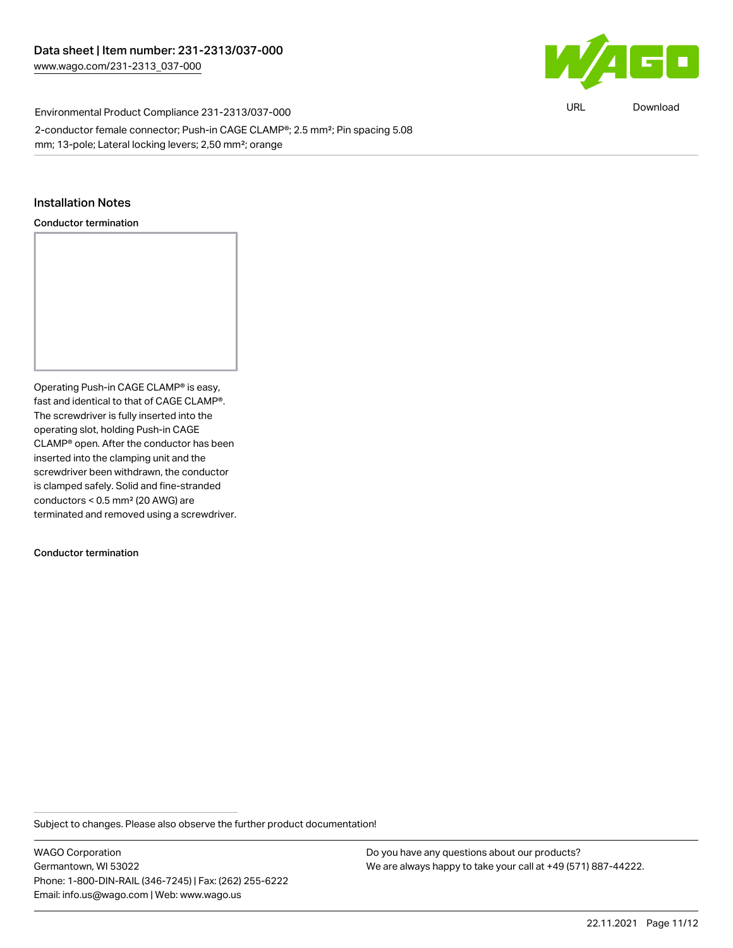

URL [Download](https://www.wago.com/global/d/ComplianceLinkMediaContainer_231-2313_037-000)

Environmental Product Compliance 231-2313/037-000 2-conductor female connector; Push-in CAGE CLAMP®; 2.5 mm²; Pin spacing 5.08 mm; 13-pole; Lateral locking levers; 2,50 mm²; orange

## Installation Notes

Conductor termination

Operating Push-in CAGE CLAMP® is easy, fast and identical to that of CAGE CLAMP®. The screwdriver is fully inserted into the operating slot, holding Push-in CAGE CLAMP® open. After the conductor has been inserted into the clamping unit and the screwdriver been withdrawn, the conductor is clamped safely. Solid and fine-stranded conductors < 0.5 mm² (20 AWG) are terminated and removed using a screwdriver.

Conductor termination

Subject to changes. Please also observe the further product documentation!

WAGO Corporation Germantown, WI 53022 Phone: 1-800-DIN-RAIL (346-7245) | Fax: (262) 255-6222 Email: info.us@wago.com | Web: www.wago.us